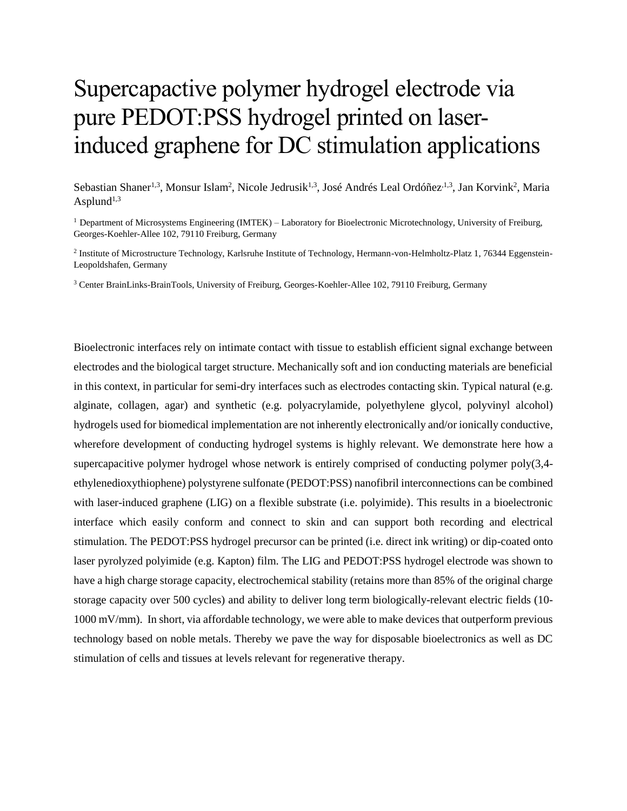## Supercapactive polymer hydrogel electrode via pure PEDOT:PSS hydrogel printed on laserinduced graphene for DC stimulation applications

Sebastian Shaner<sup>1,3</sup>, Monsur Islam<sup>2</sup>, Nicole Jedrusik<sup>1,3</sup>, José Andrés Leal Ordóñez<sup>, 1,3</sup>, Jan Korvink<sup>2</sup>, Maria Asplund<sup>1,3</sup>

<sup>1</sup> Department of Microsystems Engineering (IMTEK) – Laboratory for Bioelectronic Microtechnology, University of Freiburg, Georges-Koehler-Allee 102, 79110 Freiburg, Germany

<sup>2</sup> Institute of Microstructure Technology, Karlsruhe Institute of Technology, Hermann-von-Helmholtz-Platz 1, 76344 Eggenstein-Leopoldshafen, Germany

<sup>3</sup> Center BrainLinks-BrainTools, University of Freiburg, Georges-Koehler-Allee 102, 79110 Freiburg, Germany

Bioelectronic interfaces rely on intimate contact with tissue to establish efficient signal exchange between electrodes and the biological target structure. Mechanically soft and ion conducting materials are beneficial in this context, in particular for semi-dry interfaces such as electrodes contacting skin. Typical natural (e.g. alginate, collagen, agar) and synthetic (e.g. polyacrylamide, polyethylene glycol, polyvinyl alcohol) hydrogels used for biomedical implementation are not inherently electronically and/or ionically conductive, wherefore development of conducting hydrogel systems is highly relevant. We demonstrate here how a supercapacitive polymer hydrogel whose network is entirely comprised of conducting polymer poly(3,4 ethylenedioxythiophene) polystyrene sulfonate (PEDOT:PSS) nanofibril interconnections can be combined with laser-induced graphene (LIG) on a flexible substrate (i.e. polyimide). This results in a bioelectronic interface which easily conform and connect to skin and can support both recording and electrical stimulation. The PEDOT:PSS hydrogel precursor can be printed (i.e. direct ink writing) or dip-coated onto laser pyrolyzed polyimide (e.g. Kapton) film. The LIG and PEDOT:PSS hydrogel electrode was shown to have a high charge storage capacity, electrochemical stability (retains more than 85% of the original charge storage capacity over 500 cycles) and ability to deliver long term biologically-relevant electric fields (10- 1000 mV/mm). In short, via affordable technology, we were able to make devices that outperform previous technology based on noble metals. Thereby we pave the way for disposable bioelectronics as well as DC stimulation of cells and tissues at levels relevant for regenerative therapy.